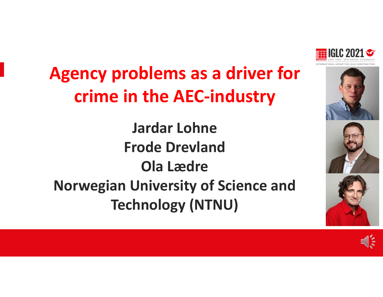

# **Agency problems as <sup>a</sup> driver for crime in the AEC‐industry**

**Jardar LohneFrode DrevlandOla LædreNorwegian University of Science and Technology (NTNU)**





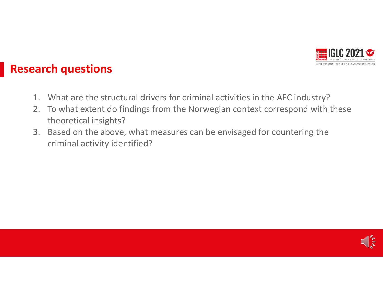

#### **Research questions**

- 1. What are the structural drivers for criminal activities in the AEC industry?
- 2. To what extent do findings from the Norwegian context correspond with these theoretical insights?
- 3. Based on the above, what measures can be envisaged for countering the criminal activity identified?

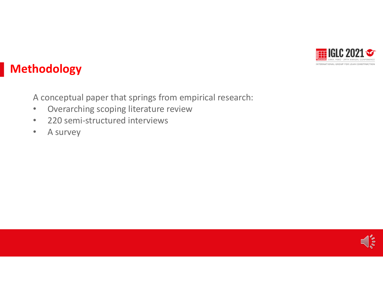

#### **Methodology**

A conceptual paper that springs from empirical research:

- $\bullet$ Overarching scoping literature review
- $\bullet$ • 220 semi-structured interviews
- •• A survey

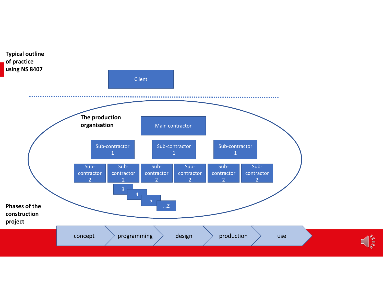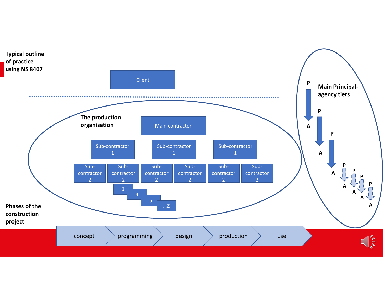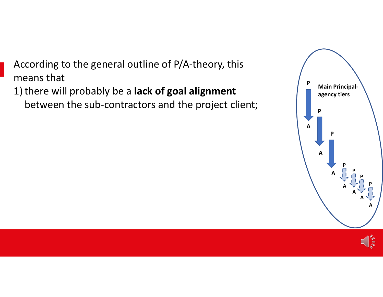According to the general outline of P/A‐theory, this means that

1) there will probably be <sup>a</sup> **lack of goal alignment** between the sub‐contractors and the project client;



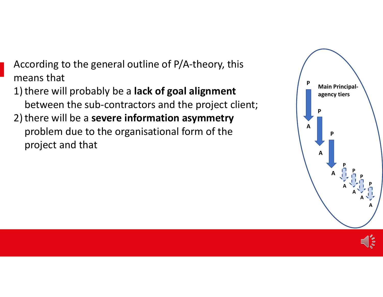According to the general outline of P/A‐theory, this means that

1) there will probably be <sup>a</sup> **lack of goal alignment** between the sub‐contractors and the project client; 2) there will be <sup>a</sup> **severe information asymmetry** problem due to the organisational form of the project and that

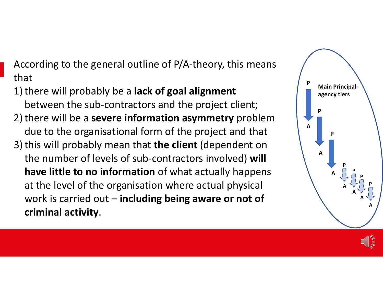According to the general outline of P/A‐theory, this means that

1) there will probably be <sup>a</sup> **lack of goal alignment** between the sub‐contractors and the project client; 2) there will be <sup>a</sup> **severe information asymmetry** problem due to the organisational form of the project and that 3) this will probably mean that **the client** (dependent on the number of levels of sub‐contractors involved) **will have little to no information** of what actually happens at the level of the organisation where actual physical work is carried out – **including being aware or not of criminal activity**.

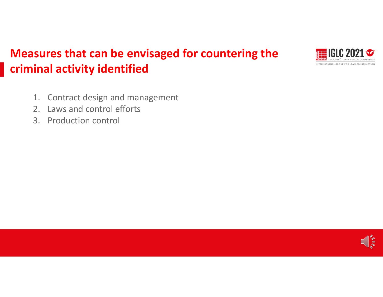

### **Measures that can be envisaged for countering the criminal activity identified**

- 1. Contract design and management
- 2. Laws and control efforts
- 3. Production control